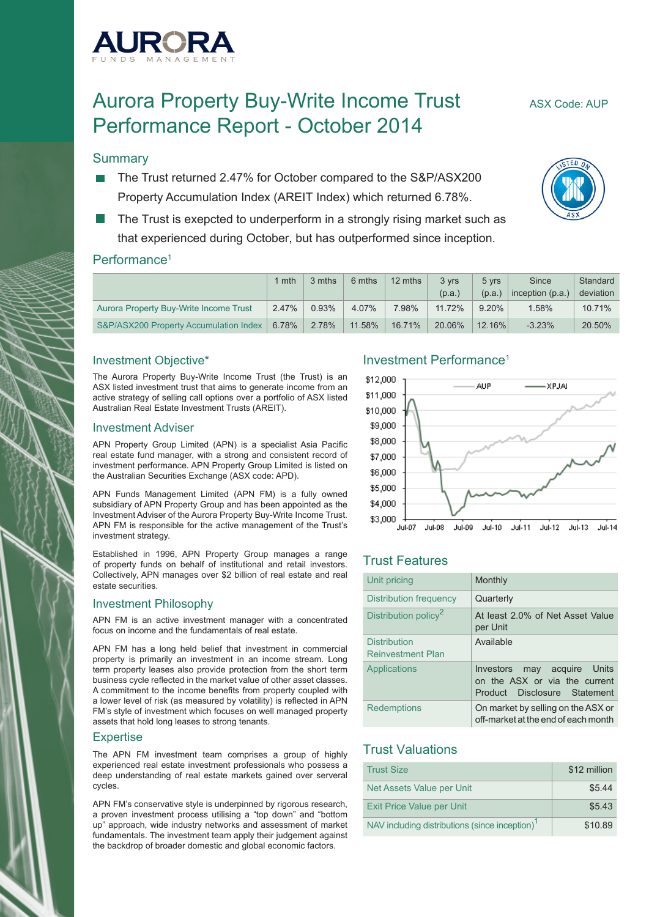

# Aurora Property Buy-Write Income Trust ASX Code: AUP Performance Report - October 2014

# **Summary**

- The Trust returned 2.47% for October compared to the S&P/ASX200 Property Accumulation Index (AREIT Index) which returned 6.78%.
- The Trust is exepcted to underperform in a strongly rising market such as that experienced during October, but has outperformed since inception.

#### Performance<sup>1</sup>

|                                        | mth   | 3 mths | 6 mths | 12 mths | 3 vrs  | 5 vrs     | Since            | Standard  |
|----------------------------------------|-------|--------|--------|---------|--------|-----------|------------------|-----------|
|                                        |       |        |        |         | (p.a.) | (p.a.)    | inception (p.a.) | deviation |
| Aurora Property Buy-Write Income Trust | 2.47% | 0.93%  | 4.07%  | 7.98%   | 11.72% | $9.20\%$  | 1.58%            | 10.71%    |
| S&P/ASX200 Property Accumulation Index | 6.78% | 2.78%  | 11.58% | 16.71%  | 20.06% | $12.16\%$ | $-3.23%$         | 20.50%    |

#### Investment Objective\*

The Aurora Property Buy-Write Income Trust (the Trust) is an ASX listed investment trust that aims to generate income from an active strategy of selling call options over a portfolio of ASX listed Australian Real Estate Investment Trusts (AREIT).

#### Investment Adviser

APN Property Group Limited (APN) is a specialist Asia Pacific real estate fund manager, with a strong and consistent record of investment performance. APN Property Group Limited is listed on the Australian Securities Exchange (ASX code: APD).

APN Funds Management Limited (APN FM) is a fully owned subsidiary of APN Property Group and has been appointed as the Investment Adviser of the Aurora Property Buy-Write Income Trust. APN FM is responsible for the active management of the Trust's investment strategy.

Established in 1996, APN Property Group manages a range of property funds on behalf of institutional and retail investors. Collectively, APN manages over \$2 billion of real estate and real estate securities.

#### Investment Philosophy

APN FM is an active investment manager with a concentrated focus on income and the fundamentals of real estate.

APN FM has a long held belief that investment in commercial property is primarily an investment in an income stream. Long term property leases also provide protection from the short term business cycle reflected in the market value of other asset classes. A commitment to the income benefits from property coupled with a lower level of risk (as measured by volatility) is reflected in APN FM's style of investment which focuses on well managed property assets that hold long leases to strong tenants.

#### **Expertise**

The APN FM investment team comprises a group of highly experienced real estate investment professionals who possess a deep understanding of real estate markets gained over serveral cycles.

APN FM's conservative style is underpinned by rigorous research, a proven investment process utilising a "top down" and "bottom up" approach, wide industry networks and assessment of market fundamentals. The investment team apply their judgement against the backdrop of broader domestic and global economic factors.

### Investment Performance1



# Trust Features

| Unit pricing                                    | Monthly                                                                                                   |
|-------------------------------------------------|-----------------------------------------------------------------------------------------------------------|
| Distribution frequency                          | Quarterly                                                                                                 |
| Distribution policy <sup>2</sup>                | At least 2.0% of Net Asset Value<br>per Unit                                                              |
| <b>Distribution</b><br><b>Reinvestment Plan</b> | Available                                                                                                 |
| Applications                                    | may acquire Units<br>Investors<br>on the ASX or via the current<br>Disclosure Statement<br><b>Product</b> |
| <b>Redemptions</b>                              | On market by selling on the ASX or<br>off-market at the end of each month                                 |

# Trust Valuations

| <b>Trust Size</b>                                          | \$12 million |
|------------------------------------------------------------|--------------|
| Net Assets Value per Unit                                  | \$5.44       |
| <b>Exit Price Value per Unit</b>                           | \$5.43       |
| NAV including distributions (since inception) <sup>1</sup> | \$10.89      |